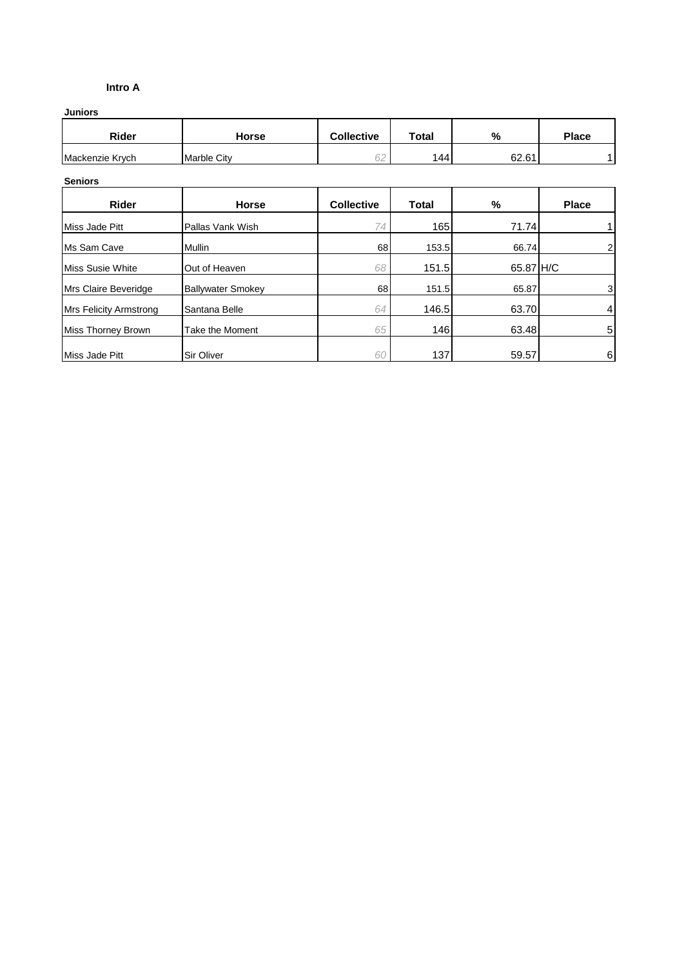### **Intro A**

**Juniors**

| Rider           | Horse              | <b>Collective</b> | <b>Total</b> | %     | <b>Place</b> |
|-----------------|--------------------|-------------------|--------------|-------|--------------|
| Mackenzie Krych | <b>Marble City</b> | $\sim$<br>◡∠      | 44           | 62.61 |              |

#### **Seniors**

| <b>Rider</b>                  | Horse                    | <b>Collective</b> | <b>Total</b> | %         | <b>Place</b>   |
|-------------------------------|--------------------------|-------------------|--------------|-----------|----------------|
| Miss Jade Pitt                | Pallas Vank Wish         | 74                | 165          | 71.74     |                |
| Ms Sam Cave                   | <b>Mullin</b>            | 68                | 153.5        | 66.74     | 2              |
| Miss Susie White              | Out of Heaven            | 68                | 151.5        | 65.87 H/C |                |
| Mrs Claire Beveridge          | <b>Ballywater Smokey</b> | 68                | 151.5        | 65.87     | 3 <sup>1</sup> |
| <b>Mrs Felicity Armstrong</b> | Santana Belle            | 64                | 146.5        | 63.70     | 4              |
| <b>Miss Thorney Brown</b>     | Take the Moment          | 65                | 146          | 63.48     | 5              |
| Miss Jade Pitt                | <b>Sir Oliver</b>        | 60                | 137          | 59.57     | 6              |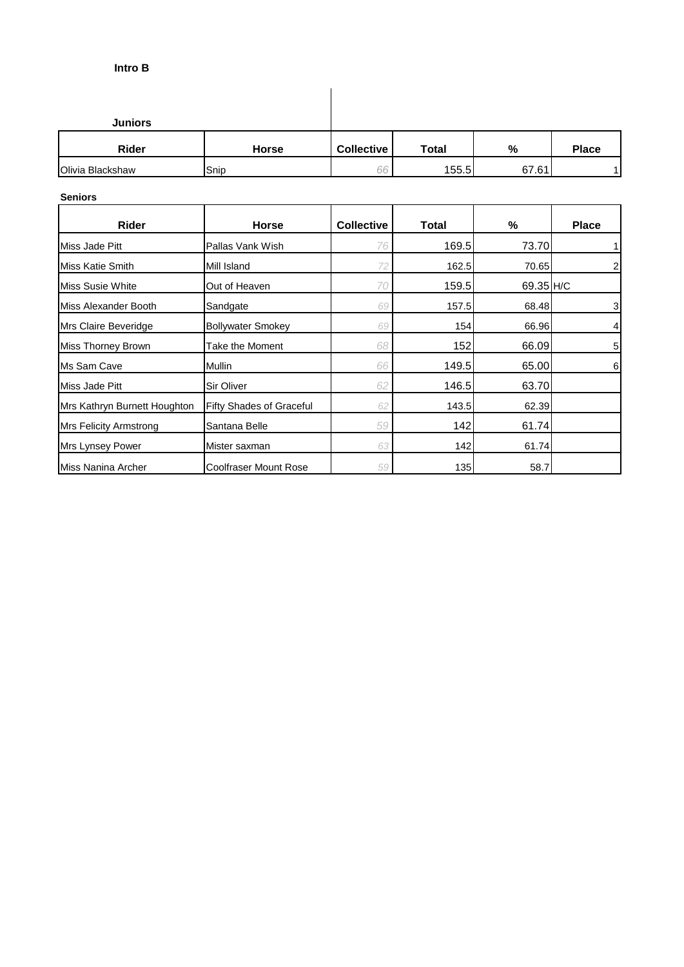## **Intro B**

| <b>Juniors</b>   |              |                   |       |       |              |
|------------------|--------------|-------------------|-------|-------|--------------|
| <b>Rider</b>     | <b>Horse</b> | <b>Collective</b> | Total | %     | <b>Place</b> |
| Olivia Blackshaw | Snip         | 66                | 155.5 | 67.61 |              |

 $\overline{\phantom{a}}$ 

### **Seniors**

| <b>Rider</b>                  | <b>Horse</b>                    | <b>Collective</b> | Total | %         | <b>Place</b>    |
|-------------------------------|---------------------------------|-------------------|-------|-----------|-----------------|
| Miss Jade Pitt                | Pallas Vank Wish                | 76                | 169.5 | 73.70     |                 |
| Miss Katie Smith              | Mill Island                     |                   | 162.5 | 70.65     | $\mathbf{2}$    |
| Miss Susie White              | Out of Heaven                   | 70                | 159.5 | 69.35 H/C |                 |
| Miss Alexander Booth          | Sandgate                        | 69                | 157.5 | 68.48     | $\mathbf{3}$    |
| Mrs Claire Beveridge          | <b>Bollywater Smokey</b>        | 69                | 154   | 66.96     | $\vert 4 \vert$ |
| Miss Thorney Brown            | Take the Moment                 | 68                | 152   | 66.09     | 5               |
| Ms Sam Cave                   | Mullin                          | 66                | 149.5 | 65.00     | 6               |
| Miss Jade Pitt                | Sir Oliver                      | 62                | 146.5 | 63.70     |                 |
| Mrs Kathryn Burnett Houghton  | <b>Fifty Shades of Graceful</b> | 62                | 143.5 | 62.39     |                 |
| <b>Mrs Felicity Armstrong</b> | Santana Belle                   | 59                | 142   | 61.74     |                 |
| Mrs Lynsey Power              | Mister saxman                   | 63                | 142   | 61.74     |                 |
| Miss Nanina Archer            | <b>Coolfraser Mount Rose</b>    | 59                | 135   | 58.7      |                 |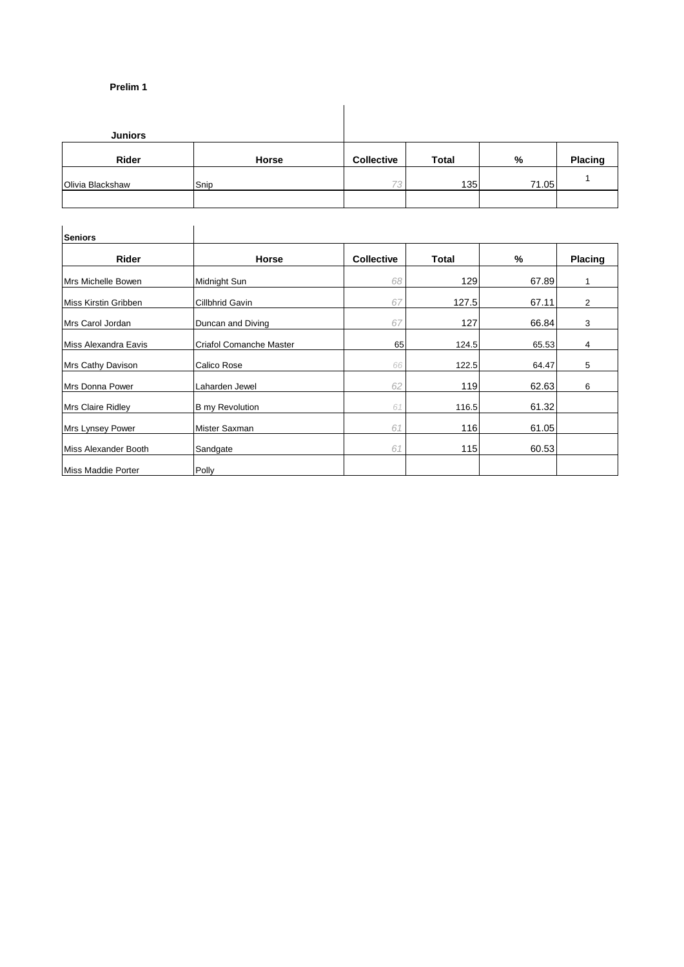#### **Prelim 1**

| <b>Juniors</b>   |       |                   |              |       |         |
|------------------|-------|-------------------|--------------|-------|---------|
| Rider            | Horse | <b>Collective</b> | <b>Total</b> | %     | Placing |
| Olivia Blackshaw | Snip  | 72                | 135          | 71.05 |         |
|                  |       |                   |              |       |         |

| <b>Seniors</b>           |                         |                   |              |       |                |
|--------------------------|-------------------------|-------------------|--------------|-------|----------------|
| <b>Rider</b>             | <b>Horse</b>            | <b>Collective</b> | <b>Total</b> | %     | <b>Placing</b> |
| Mrs Michelle Bowen       | Midnight Sun            | 68                | 129          | 67.89 |                |
| Miss Kirstin Gribben     | Cillbhrid Gavin         | 67                | 127.5        | 67.11 | $\overline{2}$ |
| Mrs Carol Jordan         | Duncan and Diving       | 67                | 127          | 66.84 | 3              |
| Miss Alexandra Eavis     | Criafol Comanche Master | 65                | 124.5        | 65.53 | 4              |
| Mrs Cathy Davison        | Calico Rose             | 66                | 122.5        | 64.47 | 5              |
| Mrs Donna Power          | Laharden Jewel          | 62                | 119          | 62.63 | 6              |
| <b>Mrs Claire Ridley</b> | <b>B</b> my Revolution  | 61                | 116.5        | 61.32 |                |
| Mrs Lynsey Power         | Mister Saxman           | 61                | 116          | 61.05 |                |
| Miss Alexander Booth     | Sandgate                | 61                | 115          | 60.53 |                |
| Miss Maddie Porter       | Polly                   |                   |              |       |                |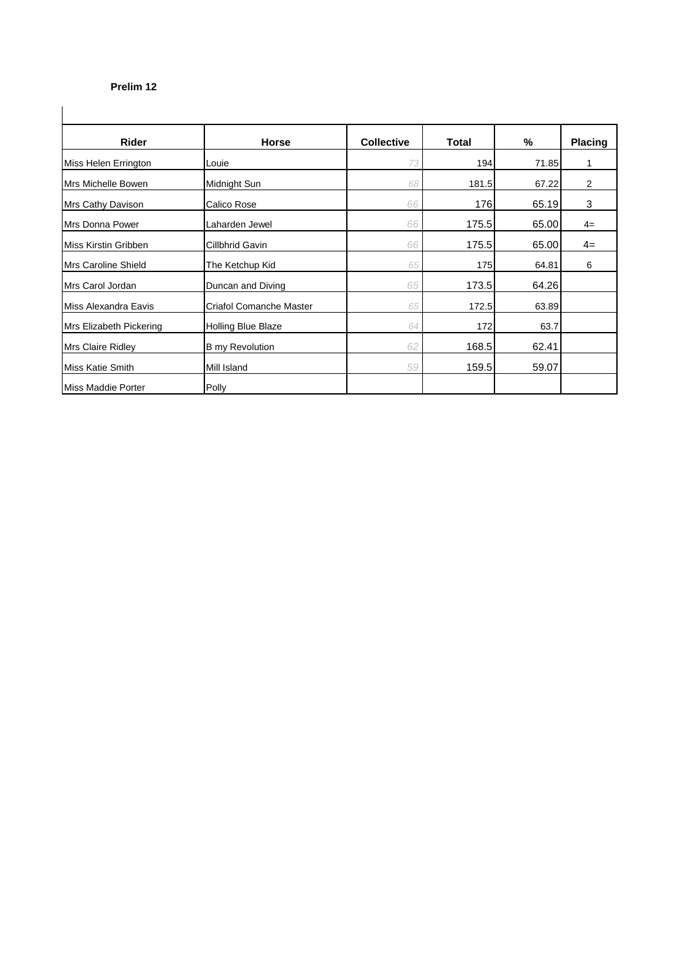## **Prelim 12**

| <b>Rider</b>            | <b>Horse</b>            | <b>Collective</b> | Total | $\%$  | <b>Placing</b> |
|-------------------------|-------------------------|-------------------|-------|-------|----------------|
| Miss Helen Errington    | Louie                   | 73                | 194   | 71.85 |                |
| Mrs Michelle Bowen      | Midnight Sun            | 68                | 181.5 | 67.22 | 2              |
| Mrs Cathy Davison       | Calico Rose             | 66                | 176   | 65.19 | 3              |
| Mrs Donna Power         | Laharden Jewel          | 66                | 175.5 | 65.00 | $4=$           |
| Miss Kirstin Gribben    | Cillbhrid Gavin         | 66                | 175.5 | 65.00 | $4=$           |
| Mrs Caroline Shield     | The Ketchup Kid         | 65                | 175   | 64.81 | 6              |
| Mrs Carol Jordan        | Duncan and Diving       | 65                | 173.5 | 64.26 |                |
| Miss Alexandra Eavis    | Criafol Comanche Master | 65                | 172.5 | 63.89 |                |
| Mrs Elizabeth Pickering | Holling Blue Blaze      | 64                | 172   | 63.7  |                |
| Mrs Claire Ridley       | <b>B</b> my Revolution  | 62                | 168.5 | 62.41 |                |
| Miss Katie Smith        | Mill Island             | 59                | 159.5 | 59.07 |                |
| Miss Maddie Porter      | Polly                   |                   |       |       |                |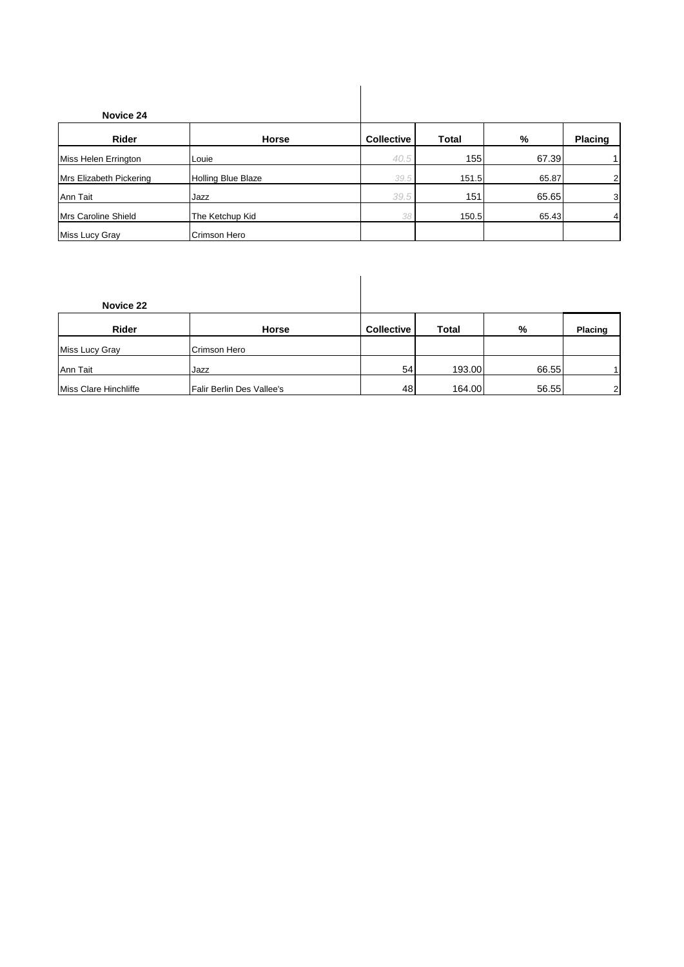| Novice 24               |                           |                   |              |       |                |
|-------------------------|---------------------------|-------------------|--------------|-------|----------------|
| Rider                   | Horse                     | <b>Collective</b> | <b>Total</b> | %     | Placing        |
| Miss Helen Errington    | Louie                     | 40.5              | 155          | 67.39 | 1              |
| Mrs Elizabeth Pickering | <b>Holling Blue Blaze</b> | 39.5              | 151.5        | 65.87 | $\overline{c}$ |
| Ann Tait                | Jazz                      | 39.5              | 151          | 65.65 | 3              |
| Mrs Caroline Shield     | The Ketchup Kid           | 38                | 150.5        | 65.43 | $\overline{4}$ |
| Miss Lucy Gray          | Crimson Hero              |                   |              |       |                |

| Novice 22             |                           |                   |              |       |                |
|-----------------------|---------------------------|-------------------|--------------|-------|----------------|
| Rider                 | Horse                     | <b>Collective</b> | <b>Total</b> | %     | <b>Placing</b> |
| Miss Lucy Gray        | Crimson Hero              |                   |              |       |                |
| Ann Tait              | Jazz                      | 54                | 193.00       | 66.55 | 11             |
| Miss Clare Hinchliffe | Falir Berlin Des Vallee's | 48                | 164.00       | 56.55 | $\overline{2}$ |